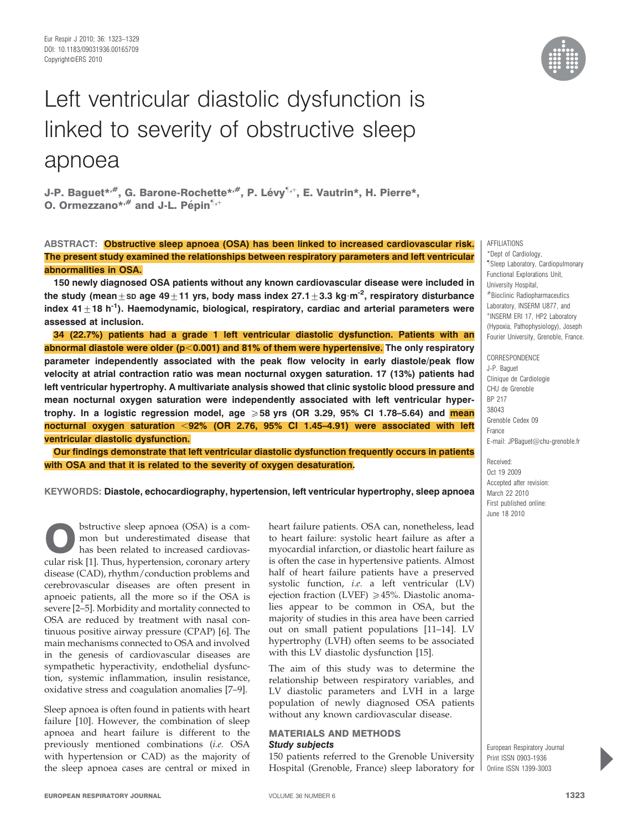

J-P. Baguet\*<sup>,#</sup>, G. Barone-Rochette\*<sup>,#</sup>, P. Lévy<sup>¶,+</sup>, E. Vautrin\*, H. Pierre\*, O. Ormezzano\*, $#$  and J-L. Pépin $1, +$ 

ABSTRACT: Obstructive sleep apnoea (OSA) has been linked to increased cardiovascular risk. The present study examined the relationships between respiratory parameters and left ventricular abnormalities in OSA.

150 newly diagnosed OSA patients without any known cardiovascular disease were included in the study (mean+sp age 49+11 yrs, body mass index 27.1+3.3 kg·m<sup>-2</sup>, respiratory disturbance index 41 $\pm$ 18 h<sup>-1</sup>). Haemodynamic, biological, respiratory, cardiac and arterial parameters were assessed at inclusion.

34 (22.7%) patients had a grade 1 left ventricular diastolic dysfunction. Patients with an abnormal diastole were older ( $p<0.001$ ) and 81% of them were hypertensive. The only respiratory parameter independently associated with the peak flow velocity in early diastole/peak flow velocity at atrial contraction ratio was mean nocturnal oxygen saturation. 17 (13%) patients had left ventricular hypertrophy. A multivariate analysis showed that clinic systolic blood pressure and mean nocturnal oxygen saturation were independently associated with left ventricular hypertrophy. In a logistic regression model, age  $\geqslant$  58 yrs (OR 3.29, 95% CI 1.78–5.64) and mean nocturnal oxygen saturation <92% (OR 2.76, 95% CI 1.45–4.91) were associated with left ventricular diastolic dysfunction.

Our findings demonstrate that left ventricular diastolic dysfunction frequently occurs in patients with OSA and that it is related to the severity of oxygen desaturation.



\*Dept of Cardiology, " Sleep Laboratory, Cardiopulmonary Functional Explorations Unit, University Hospital, #Bioclinic Radiopharmaceutics Laboratory, INSERM U877, and + INSERM ERI 17, HP2 Laboratory (Hypoxia, Pathophysiology), Joseph Fourier University, Grenoble, France.

CORRESPONDENCE J-P. Baguet Clinique de Cardiologie CHU de Grenoble BP 217 38043 Grenoble Cedex 09 France E-mail: JPBaguet@chu-grenoble.fr

Received: Oct 19 2009 Accepted after revision: March 22 2010 First published online: June 18 2010

European Respiratory Journal Print ISSN 0903-1936 Online ISSN 1399-3003

KEYWORDS: Diastole, echocardiography, hypertension, left ventricular hypertrophy, sleep apnoea

bstructive sleep apnoea (OSA) is a common but underestimated disease that has been related to increased cardiovascular risk [1]. Thus, hypertension, coronary artery disease (CAD), rhythm/conduction problems and cerebrovascular diseases are often present in apnoeic patients, all the more so if the OSA is severe [2–5]. Morbidity and mortality connected to OSA are reduced by treatment with nasal continuous positive airway pressure (CPAP) [6]. The main mechanisms connected to OSA and involved in the genesis of cardiovascular diseases are sympathetic hyperactivity, endothelial dysfunction, systemic inflammation, insulin resistance, oxidative stress and coagulation anomalies [7–9].

Sleep apnoea is often found in patients with heart failure [10]. However, the combination of sleep apnoea and heart failure is different to the previously mentioned combinations (i.e. OSA with hypertension or CAD) as the majority of the sleep apnoea cases are central or mixed in heart failure patients. OSA can, nonetheless, lead to heart failure: systolic heart failure as after a myocardial infarction, or diastolic heart failure as is often the case in hypertensive patients. Almost half of heart failure patients have a preserved systolic function, i.e. a left ventricular (LV) ejection fraction (LVEF)  $\geq 45$ %. Diastolic anomalies appear to be common in OSA, but the majority of studies in this area have been carried out on small patient populations [11–14]. LV hypertrophy (LVH) often seems to be associated with this LV diastolic dysfunction [15].

The aim of this study was to determine the relationship between respiratory variables, and LV diastolic parameters and LVH in a large population of newly diagnosed OSA patients without any known cardiovascular disease.

# MATERIALS AND METHODS Study subjects

150 patients referred to the Grenoble University Hospital (Grenoble, France) sleep laboratory for

**P**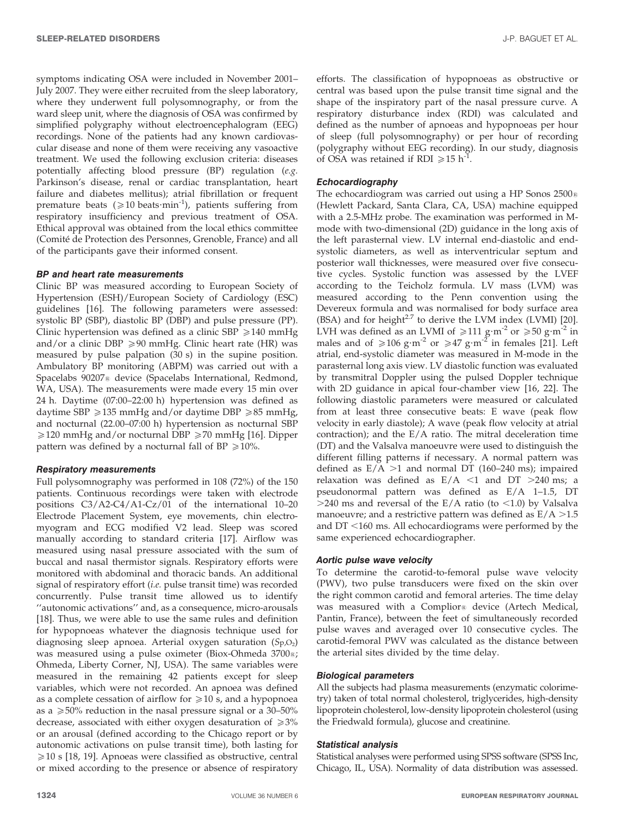symptoms indicating OSA were included in November 2001– July 2007. They were either recruited from the sleep laboratory, where they underwent full polysomnography, or from the ward sleep unit, where the diagnosis of OSA was confirmed by simplified polygraphy without electroencephalogram (EEG) recordings. None of the patients had any known cardiovascular disease and none of them were receiving any vasoactive treatment. We used the following exclusion criteria: diseases potentially affecting blood pressure (BP) regulation (e.g. Parkinson's disease, renal or cardiac transplantation, heart failure and diabetes mellitus); atrial fibrillation or frequent premature beats ( $\geq 10$  beats·min<sup>-1</sup>), patients suffering from respiratory insufficiency and previous treatment of OSA. Ethical approval was obtained from the local ethics committee (Comité de Protection des Personnes, Grenoble, France) and all of the participants gave their informed consent.

#### BP and heart rate measurements

Clinic BP was measured according to European Society of Hypertension (ESH)/European Society of Cardiology (ESC) guidelines [16]. The following parameters were assessed: systolic BP (SBP), diastolic BP (DBP) and pulse pressure (PP). Clinic hypertension was defined as a clinic SBP  $\geq 140$  mmHg and/or a clinic DBP  $\geq$ 90 mmHg. Clinic heart rate (HR) was measured by pulse palpation (30 s) in the supine position. Ambulatory BP monitoring (ABPM) was carried out with a Spacelabs 90207<sup>®</sup> device (Spacelabs International, Redmond, WA, USA). The measurements were made every 15 min over 24 h. Daytime (07:00–22:00 h) hypertension was defined as daytime SBP  $\geq$  135 mmHg and/or daytime DBP  $\geq$  85 mmHg, and nocturnal (22.00–07:00 h) hypertension as nocturnal SBP  $\geq$ 120 mmHg and/or nocturnal DBP  $\geq$ 70 mmHg [16]. Dipper pattern was defined by a nocturnal fall of BP  $\geq 10\%$ .

# Respiratory measurements

Full polysomnography was performed in 108 (72%) of the 150 patients. Continuous recordings were taken with electrode positions C3/A2-C4/A1-Cz/01 of the international 10–20 Electrode Placement System, eye movements, chin electromyogram and ECG modified V2 lead. Sleep was scored manually according to standard criteria [17]. Airflow was measured using nasal pressure associated with the sum of buccal and nasal thermistor signals. Respiratory efforts were monitored with abdominal and thoracic bands. An additional signal of respiratory effort (i.e. pulse transit time) was recorded concurrently. Pulse transit time allowed us to identify ''autonomic activations'' and, as a consequence, micro-arousals [18]. Thus, we were able to use the same rules and definition for hypopnoeas whatever the diagnosis technique used for diagnosing sleep apnoea. Arterial oxygen saturation  $(S_P, O_2)$ was measured using a pulse oximeter (Biox-Ohmeda 3700®; Ohmeda, Liberty Corner, NJ, USA). The same variables were measured in the remaining 42 patients except for sleep variables, which were not recorded. An apnoea was defined as a complete cessation of airflow for  $\geq 10$  s, and a hypopnoea as a  $\geq$  50% reduction in the nasal pressure signal or a 30–50% decrease, associated with either oxygen desaturation of  $\geq 3\%$ or an arousal (defined according to the Chicago report or by autonomic activations on pulse transit time), both lasting for  $\geq$ 10 s [18, 19]. Apnoeas were classified as obstructive, central or mixed according to the presence or absence of respiratory

efforts. The classification of hypopnoeas as obstructive or central was based upon the pulse transit time signal and the shape of the inspiratory part of the nasal pressure curve. A respiratory disturbance index (RDI) was calculated and defined as the number of apnoeas and hypopnoeas per hour of sleep (full polysomnography) or per hour of recording (polygraphy without EEG recording). In our study, diagnosis of OSA was retained if RDI  $\ge 15$  h<sup>-1</sup>.

# **Echocardiography**

The echocardiogram was carried out using a HP Sonos 2500<sup>®</sup> (Hewlett Packard, Santa Clara, CA, USA) machine equipped with a 2.5-MHz probe. The examination was performed in Mmode with two-dimensional (2D) guidance in the long axis of the left parasternal view. LV internal end-diastolic and endsystolic diameters, as well as interventricular septum and posterior wall thicknesses, were measured over five consecutive cycles. Systolic function was assessed by the LVEF according to the Teicholz formula. LV mass (LVM) was measured according to the Penn convention using the Devereux formula and was normalised for body surface area (BSA) and for height $2.7$  to derive the LVM index (LVMI) [20]. LVH was defined as an LVMI of  $\geq 111$  g·m<sup>-2</sup> or  $\geq 50$  g·m<sup>-2</sup> in males and of  $\geq 106$  g·m<sup>-2</sup> or  $\geq 47$  g·m<sup>-2</sup> in females [21]. Left atrial, end-systolic diameter was measured in M-mode in the parasternal long axis view. LV diastolic function was evaluated by transmitral Doppler using the pulsed Doppler technique with 2D guidance in apical four-chamber view [16, 22]. The following diastolic parameters were measured or calculated from at least three consecutive beats: E wave (peak flow velocity in early diastole); A wave (peak flow velocity at atrial contraction); and the E/A ratio. The mitral deceleration time (DT) and the Valsalva manoeuvre were used to distinguish the different filling patterns if necessary. A normal pattern was defined as  $E/A$  >1 and normal DT (160–240 ms); impaired relaxation was defined as  $E/A < 1$  and DT >240 ms; a pseudonormal pattern was defined as E/A 1–1.5, DT  $>$ 240 ms and reversal of the E/A ratio (to <1.0) by Valsalva manoeuvre; and a restrictive pattern was defined as  $E/A > 1.5$ and  $DT < 160$  ms. All echocardiograms were performed by the same experienced echocardiographer.

#### Aortic pulse wave velocity

To determine the carotid-to-femoral pulse wave velocity (PWV), two pulse transducers were fixed on the skin over the right common carotid and femoral arteries. The time delay was measured with a Complior® device (Artech Medical, Pantin, France), between the feet of simultaneously recorded pulse waves and averaged over 10 consecutive cycles. The carotid-femoral PWV was calculated as the distance between the arterial sites divided by the time delay.

# Biological parameters

All the subjects had plasma measurements (enzymatic colorimetry) taken of total normal cholesterol, triglycerides, high-density lipoprotein cholesterol, low-density lipoprotein cholesterol (using the Friedwald formula), glucose and creatinine.

### Statistical analysis

Statistical analyses were performed using SPSS software (SPSS Inc, Chicago, IL, USA). Normality of data distribution was assessed.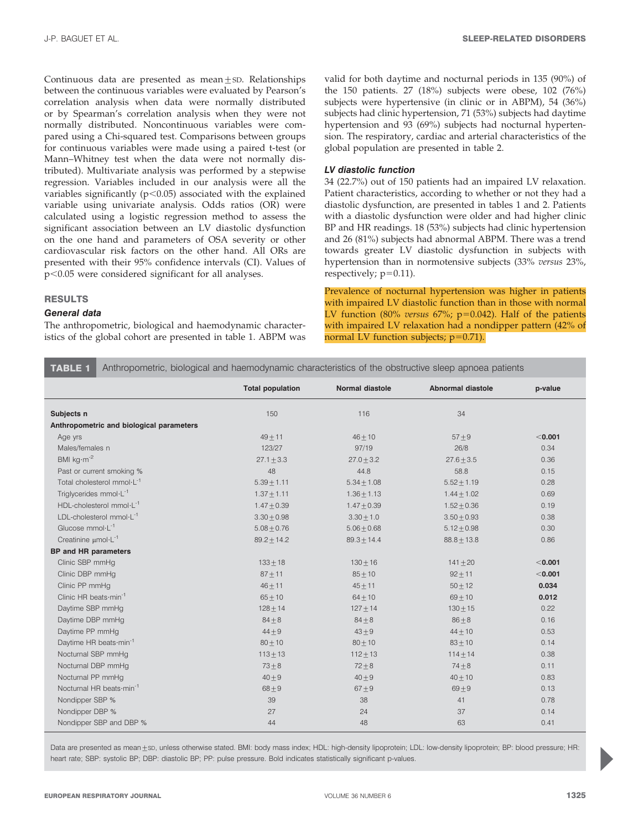Continuous data are presented as mean $\pm$ SD. Relationships between the continuous variables were evaluated by Pearson's correlation analysis when data were normally distributed or by Spearman's correlation analysis when they were not normally distributed. Noncontinuous variables were compared using a Chi-squared test. Comparisons between groups for continuous variables were made using a paired t-test (or Mann–Whitney test when the data were not normally distributed). Multivariate analysis was performed by a stepwise regression. Variables included in our analysis were all the variables significantly  $(p<0.05)$  associated with the explained variable using univariate analysis. Odds ratios (OR) were calculated using a logistic regression method to assess the significant association between an LV diastolic dysfunction on the one hand and parameters of OSA severity or other cardiovascular risk factors on the other hand. All ORs are presented with their 95% confidence intervals (CI). Values of  $p<0.05$  were considered significant for all analyses.

# RESULTS

## General data

The anthropometric, biological and haemodynamic characteristics of the global cohort are presented in table 1. ABPM was valid for both daytime and nocturnal periods in 135 (90%) of the 150 patients. 27 (18%) subjects were obese, 102 (76%) subjects were hypertensive (in clinic or in ABPM), 54 (36%) subjects had clinic hypertension, 71 (53%) subjects had daytime hypertension and 93 (69%) subjects had nocturnal hypertension. The respiratory, cardiac and arterial characteristics of the global population are presented in table 2.

## LV diastolic function

34 (22.7%) out of 150 patients had an impaired LV relaxation. Patient characteristics, according to whether or not they had a diastolic dysfunction, are presented in tables 1 and 2. Patients with a diastolic dysfunction were older and had higher clinic BP and HR readings. 18 (53%) subjects had clinic hypertension and 26 (81%) subjects had abnormal ABPM. There was a trend towards greater LV diastolic dysfunction in subjects with hypertension than in normotensive subjects (33% versus 23%, respectively;  $p=0.11$ ).

Prevalence of nocturnal hypertension was higher in patients with impaired LV diastolic function than in those with normal LV function (80% versus 67%;  $p=0.042$ ). Half of the patients with impaired LV relaxation had a nondipper pattern (42% of normal LV function subjects;  $p=0.71$ ).

TABLE 1 Anthropometric, biological and haemodynamic characteristics of the obstructive sleep apnoea patients

|                                           | <b>Total population</b> | <b>Normal diastole</b> | <b>Abnormal diastole</b> | p-value |
|-------------------------------------------|-------------------------|------------------------|--------------------------|---------|
| Subjects n                                | 150                     | 116                    | 34                       |         |
| Anthropometric and biological parameters  |                         |                        |                          |         |
| Age yrs                                   | $49 + 11$               | $46 + 10$              | $57 + 9$                 | < 0.001 |
| Males/females n                           | 123/27                  | 97/19                  | 26/8                     | 0.34    |
| BMI $\text{kg}\cdot\text{m}^{-2}$         | $27.1 + 3.3$            | $27.0 + 3.2$           | $27.6 + 3.5$             | 0.36    |
| Past or current smoking %                 | 48                      | 44.8                   | 58.8                     | 0.15    |
| Total cholesterol mmol·L <sup>-1</sup>    | $5.39 + 1.11$           | $5.34 + 1.08$          | $5.52 \pm 1.19$          | 0.28    |
| Triglycerides mmol·L <sup>-1</sup>        | $1.37 + 1.11$           | $1.36 \pm 1.13$        | $1.44 + 1.02$            | 0.69    |
| $HDL$ -cholesterol mmol $\cdot L^{-1}$    | $1.47 + 0.39$           | $1.47 + 0.39$          | $1.52 + 0.36$            | 0.19    |
| LDL-cholesterol $mmol·L-1$                | $3.30 + 0.98$           | $3.30 + 1.0$           | $3.50 + 0.93$            | 0.38    |
| Glucose $mmol·L^{-1}$                     | $5.08 \pm 0.76$         | $5.06 \pm 0.68$        | $5.12 \pm 0.98$          | 0.30    |
| Creatinine $\mu$ mol·L <sup>-1</sup>      | $89.2 + 14.2$           | $89.3 + 14.4$          | $88.8 + 13.8$            | 0.86    |
| <b>BP</b> and HR parameters               |                         |                        |                          |         |
| Clinic SBP mmHq                           | $133 + 18$              | $130 + 16$             | $141 + 20$               | < 0.001 |
| Clinic DBP mmHq                           | $87 + 11$               | $85 + 10$              | $92 + 11$                | < 0.001 |
| Clinic PP mmHq                            | $46 + 11$               | $45 + 11$              | $50 + 12$                | 0.034   |
| Clinic HR beats $\cdot$ min <sup>-1</sup> | $65 + 10$               | $64 + 10$              | $69 + 10$                | 0.012   |
| Daytime SBP mmHg                          | $128 + 14$              | $127 + 14$             | $130 + 15$               | 0.22    |
| Daytime DBP mmHg                          | $84\pm8$                | $84\pm8$               | $86 + 8$                 | 0.16    |
| Daytime PP mmHq                           | $44 + 9$                | $43 + 9$               | $44 + 10$                | 0.53    |
| Daytime HR beats min <sup>-1</sup>        | $80 + 10$               | $80 + 10$              | $83 + 10$                | 0.14    |
| Nocturnal SBP mmHg                        | $113 + 13$              | $112 + 13$             | $114 + 14$               | 0.38    |
| Nocturnal DBP mmHg                        | $73 + 8$                | $72 + 8$               | $74\pm8$                 | 0.11    |
| Nocturnal PP mmHq                         | $40 + 9$                | $40 + 9$               | $40 + 10$                | 0.83    |
| Nocturnal HR beats min <sup>-1</sup>      | $68 + 9$                | $67 + 9$               | $69+9$                   | 0.13    |
| Nondipper SBP %                           | 39                      | 38                     | 41                       | 0.78    |
| Nondipper DBP %                           | 27                      | 24                     | 37                       | 0.14    |
| Nondipper SBP and DBP %                   | 44                      | 48                     | 63                       | 0.41    |

Data are presented as mean ±sp, unless otherwise stated. BMI: body mass index; HDL: high-density lipoprotein; LDL: low-density lipoprotein; BP: blood pressure; HR: heart rate; SBP: systolic BP; DBP: diastolic BP; PP: pulse pressure. Bold indicates statistically significant p-values.

**P**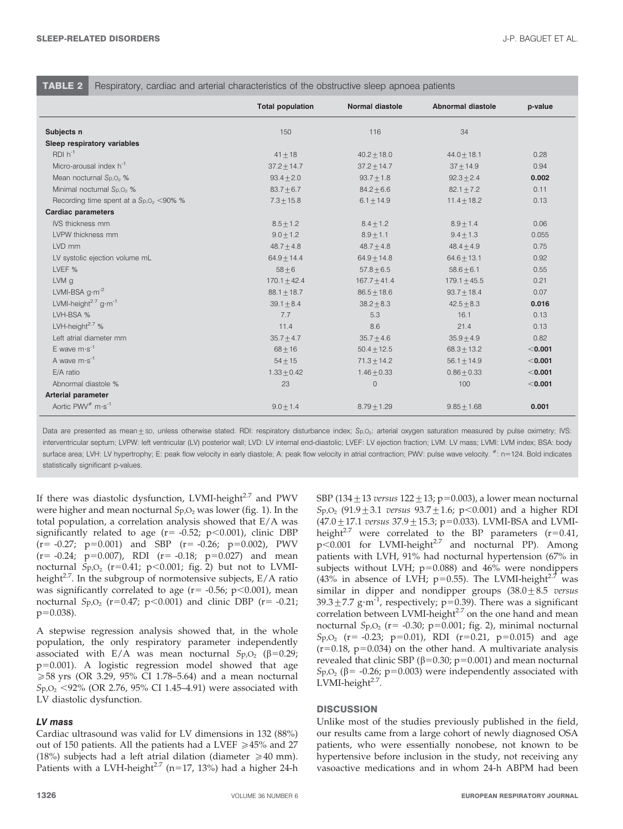**TABLE 2** Respiratory, cardiac and arterial characteristics of the obstructive sleep apnoea patients

|                                              | <b>Total population</b> | <b>Normal diastole</b> | <b>Abnormal diastole</b> | p-value |
|----------------------------------------------|-------------------------|------------------------|--------------------------|---------|
| Subjects n                                   | 150                     | 116                    | 34                       |         |
| Sleep respiratory variables                  |                         |                        |                          |         |
| $RDI h^{-1}$                                 | $41 + 18$               | $40.2 \pm 18.0$        | $44.0 + 18.1$            | 0.28    |
| Micro-arousal index $h^{-1}$                 | $37.2 + 14.7$           | $37.2 + 14.7$          | $37 + 14.9$              | 0.94    |
| Mean nocturnal Sp, O <sub>2</sub> %          | $93.4 \pm 2.0$          | $93.7 \pm 1.8$         | $92.3 + 2.4$             | 0.002   |
| Minimal nocturnal Sp, O <sub>2</sub> %       | $83.7 + 6.7$            | $84.2 \pm 6.6$         | $82.1 + 7.2$             | 0.11    |
| Recording time spent at a $Sp.02 < 90%$ %    | $7.3 + 15.8$            | $6.1 \pm 14.9$         | $11.4 \pm 18.2$          | 0.13    |
| <b>Cardiac parameters</b>                    |                         |                        |                          |         |
| IVS thickness mm                             | $8.5 + 1.2$             | $8.4 + 1.2$            | $8.9 + 1.4$              | 0.06    |
| LVPW thickness mm                            | $9.0 + 1.2$             | $8.9 + 1.1$            | $9.4 + 1.3$              | 0.055   |
| LVD mm                                       | $48.7 \pm 4.8$          | $48.7 + 4.8$           | $48.4 + 4.9$             | 0.75    |
| LV systolic ejection volume mL               | $64.9 + 14.4$           | $64.9 + 14.8$          | $64.6 + 13.1$            | 0.92    |
| LVEF %                                       | $58 + 6$                | $57.8 + 6.5$           | $58.6 + 6.1$             | 0.55    |
| LVM g                                        | $170.1 + 42.4$          | $167.7 + 41.4$         | $179.1 + 45.5$           | 0.21    |
| LVMI-BSA $g \cdot m^{-2}$                    | $88.1 \pm 18.7$         | $86.5 \pm 18.6$        | $93.7 + 18.4$            | 0.07    |
| LVMI-height <sup>2.7</sup> g·m <sup>-1</sup> | $39.1 \pm 8.4$          | $38.2 + 8.3$           | $42.5 + 8.3$             | 0.016   |
| LVH-BSA %                                    | 7.7                     | 5.3                    | 16.1                     | 0.13    |
| LVH-height $2.7\%$                           | 11.4                    | 8.6                    | 21.4                     | 0.13    |
| Left atrial diameter mm                      | $35.7 \pm 4.7$          | $35.7 \pm 4.6$         | $35.9 + 4.9$             | 0.82    |
| E wave $m \cdot s^{-1}$                      | $68 + 16$               | $50.4 + 12.5$          | $68.3 + 13.2$            | < 0.001 |
| A wave $m \cdot s^{-1}$                      | $54 + 15$               | $71.3 + 14.2$          | $56.1 + 14.9$            | < 0.001 |
| E/A ratio                                    | $1.33 \pm 0.42$         | $1.46 \pm 0.33$        | $0.86 \pm 0.33$          | < 0.001 |
| Abnormal diastole %                          | 23                      | $\mathbf 0$            | 100                      | < 0.001 |
| <b>Arterial parameter</b>                    |                         |                        |                          |         |
| Aortic PWV <sup>#</sup> m·s <sup>-1</sup>    | $9.0 + 1.4$             | $8.79 + 1.29$          | $9.85 + 1.68$            | 0.001   |

Data are presented as mean ± sp, unless otherwise stated. RDI: respiratory disturbance index; Sp,O<sub>2</sub>: arterial oxygen saturation measured by pulse oximetry; IVS: interventricular septum; LVPW: left ventricular (LV) posterior wall; LVD: LV internal end-diastolic; LVEF: LV ejection fraction; LVM: LV mass; LVMI: LVM index; BSA: body surface area; LVH: LV hypertrophy; E: peak flow velocity in early diastole; A: peak flow velocity in atrial contraction; PWV: pulse wave velocity.  $*$ : n=124. Bold indicates statistically significant p-values.

If there was diastolic dysfunction, LVMI-height<sup>2.7</sup> and PWV were higher and mean nocturnal  $SpO<sub>2</sub>$  was lower (fig. 1). In the total population, a correlation analysis showed that E/A was significantly related to age ( $r = -0.52$ ; p $\lt 0.001$ ), clinic DBP  $(r=-0.27; p=0.001)$  and SBP  $(r=-0.26; p=0.002)$ , PWV  $(r= -0.24; p=0.007)$ , RDI  $(r= -0.18; p=0.027)$  and mean nocturnal  $Sp_2O_2$  (r=0.41; p<0.001; fig. 2) but not to LVMIheight<sup>2.7</sup>. In the subgroup of normotensive subjects,  $E/A$  ratio was significantly correlated to age  $(r= -0.56; p<0.001)$ , mean nocturnal  $S_{p,O_2}$  (r=0.47; p<0.001) and clinic DBP (r= -0.21;  $p=0.038$ ).

A stepwise regression analysis showed that, in the whole population, the only respiratory parameter independently associated with E/A was mean nocturnal  $Sp_2O_2$  ( $\beta=0.29$ ;  $p=0.001$ ). A logistic regression model showed that age  $\geq$  58 yrs (OR 3.29, 95% CI 1.78–5.64) and a mean nocturnal  $Sp. O<sub>2</sub> < 92\%$  (OR 2.76, 95% CI 1.45–4.91) were associated with LV diastolic dysfunction.

# LV mass

Cardiac ultrasound was valid for LV dimensions in 132 (88%) out of 150 patients. All the patients had a LVEF  $\geq$  45% and 27 (18%) subjects had a left atrial dilation (diameter  $\geq 40$  mm). Patients with a LVH-height<sup>2.7</sup> (n=17, 13%) had a higher 24-h SBP (134 $\pm$ 13 versus 122 $\pm$ 13; p=0.003), a lower mean nocturnal  $Sp. O_2$  (91.9  $\pm$  3.1 versus 93.7  $\pm$  1.6; p < 0.001) and a higher RDI  $(47.0 \pm 17.1$  versus  $37.9 \pm 15.3$ ; p=0.033). LVMI-BSA and LVMIheight<sup>2.7</sup> were correlated to the BP parameters ( $r=0.41$ ,  $p<0.001$  for LVMI-height<sup>2.7</sup> and nocturnal PP). Among patients with LVH, 91% had nocturnal hypertension (67% in subjects without LVH;  $p=0.088$ ) and 46% were nondippers (43% in absence of LVH; p=0.55). The LVMI-height<sup>2.7</sup> was similar in dipper and nondipper groups  $(38.0 \pm 8.5$  versus 39.3 $\pm$ 7.7 g·m<sup>-1</sup>, respectively; p=0.39). There was a significant correlation between LVMI-height $2.7$  on the one hand and mean nocturnal S<sub>p</sub>, $O_2$  (r= -0.30; p=0.001; fig. 2), minimal nocturnal  $Sp_1O_2$  (r= -0.23; p=0.01), RDI (r=0.21, p=0.015) and age  $(r=0.18, p=0.034)$  on the other hand. A multivariate analysis revealed that clinic SBP ( $\beta$ =0.30; p=0.001) and mean nocturnal Sp,O<sub>2</sub> ( $\beta$ = -0.26; p=0.003) were independently associated with LVMI-height $2.7$ .

# **DISCUSSION**

Unlike most of the studies previously published in the field, our results came from a large cohort of newly diagnosed OSA patients, who were essentially nonobese, not known to be hypertensive before inclusion in the study, not receiving any vasoactive medications and in whom 24-h ABPM had been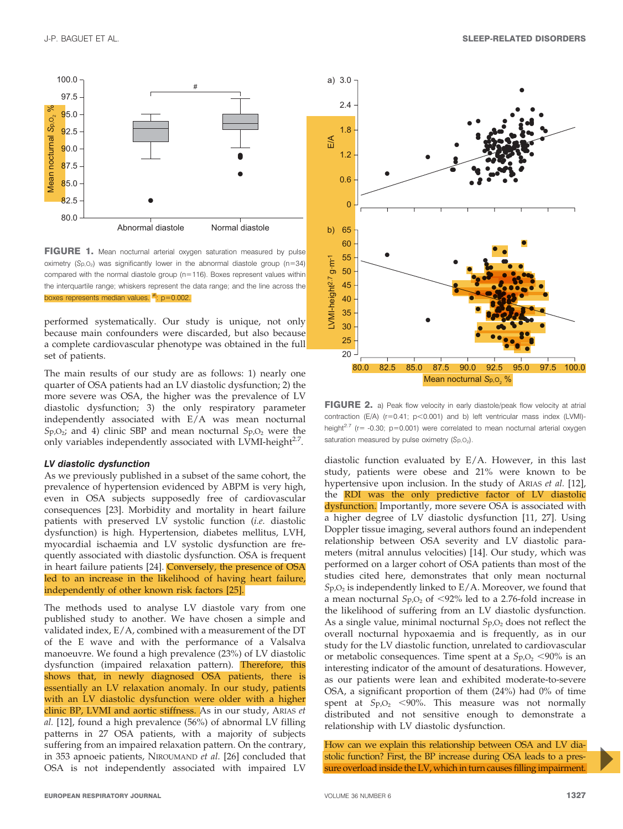

FIGURE 1. Mean nocturnal arterial oxygen saturation measured by pulse oximetry  $(Sp, O<sub>2</sub>)$  was significantly lower in the abnormal diastole group (n=34) compared with the normal diastole group (n=116). Boxes represent values within the interquartile range; whiskers represent the data range; and the line across the boxes represents median values.  $\frac{4}{1}$  p=0.002.

performed systematically. Our study is unique, not only because main confounders were discarded, but also because a complete cardiovascular phenotype was obtained in the full set of patients.

The main results of our study are as follows: 1) nearly one quarter of OSA patients had an LV diastolic dysfunction; 2) the more severe was OSA, the higher was the prevalence of LV diastolic dysfunction; 3) the only respiratory parameter independently associated with E/A was mean nocturnal  $S_{p,0}$ ; and 4) clinic SBP and mean nocturnal  $S_{p,0}$ , were the only variables independently associated with LVMI-height $2.7$ .

## LV diastolic dysfunction

As we previously published in a subset of the same cohort, the prevalence of hypertension evidenced by ABPM is very high, even in OSA subjects supposedly free of cardiovascular consequences [23]. Morbidity and mortality in heart failure patients with preserved LV systolic function (i.e. diastolic dysfunction) is high. Hypertension, diabetes mellitus, LVH, myocardial ischaemia and LV systolic dysfunction are frequently associated with diastolic dysfunction. OSA is frequent in heart failure patients [24]. Conversely, the presence of OSA led to an increase in the likelihood of having heart failure, independently of other known risk factors [25].

The methods used to analyse LV diastole vary from one published study to another. We have chosen a simple and validated index, E/A, combined with a measurement of the DT of the E wave and with the performance of a Valsalva manoeuvre. We found a high prevalence (23%) of LV diastolic dysfunction (impaired relaxation pattern). Therefore, this shows that, in newly diagnosed OSA patients, there is essentially an LV relaxation anomaly. In our study, patients with an LV diastolic dysfunction were older with a higher clinic BP, LVMI and aortic stiffness. As in our study, ARIAS et al. [12], found a high prevalence (56%) of abnormal LV filling patterns in 27 OSA patients, with a majority of subjects suffering from an impaired relaxation pattern. On the contrary, in 353 apnoeic patients, NIROUMAND et al. [26] concluded that OSA is not independently associated with impaired LV



FIGURE 2. a) Peak flow velocity in early diastole/peak flow velocity at atrial contraction (E/A) ( $r=0.41$ ;  $p<0.001$ ) and b) left ventricular mass index (LVMI)height<sup>2.7</sup> ( $r=$  -0.30; p=0.001) were correlated to mean nocturnal arterial oxygen saturation measured by pulse oximetry  $(Sp, O<sub>2</sub>)$ .

diastolic function evaluated by E/A. However, in this last study, patients were obese and 21% were known to be hypertensive upon inclusion. In the study of ARIAS et al. [12], the RDI was the only predictive factor of LV diastolic dysfunction. Importantly, more severe OSA is associated with a higher degree of LV diastolic dysfunction [11, 27]. Using Doppler tissue imaging, several authors found an independent relationship between OSA severity and LV diastolic parameters (mitral annulus velocities) [14]. Our study, which was performed on a larger cohort of OSA patients than most of the studies cited here, demonstrates that only mean nocturnal  $Sp_2O_2$  is independently linked to  $E/A$ . Moreover, we found that a mean nocturnal  $Sp_2O_2$  of <92% led to a 2.76-fold increase in the likelihood of suffering from an LV diastolic dysfunction. As a single value, minimal nocturnal  $SpO<sub>2</sub>$  does not reflect the overall nocturnal hypoxaemia and is frequently, as in our study for the LV diastolic function, unrelated to cardiovascular or metabolic consequences. Time spent at a  $Sp.O<sub>2</sub> < 90\%$  is an interesting indicator of the amount of desaturations. However, as our patients were lean and exhibited moderate-to-severe OSA, a significant proportion of them (24%) had 0% of time spent at  $Sp_2$  <90%. This measure was not normally distributed and not sensitive enough to demonstrate a relationship with LV diastolic dysfunction.

How can we explain this relationship between OSA and LV diastolic function? First, the BP increase during OSA leads to a pressure overload inside the LV, which in turn causes filling impairment.

Z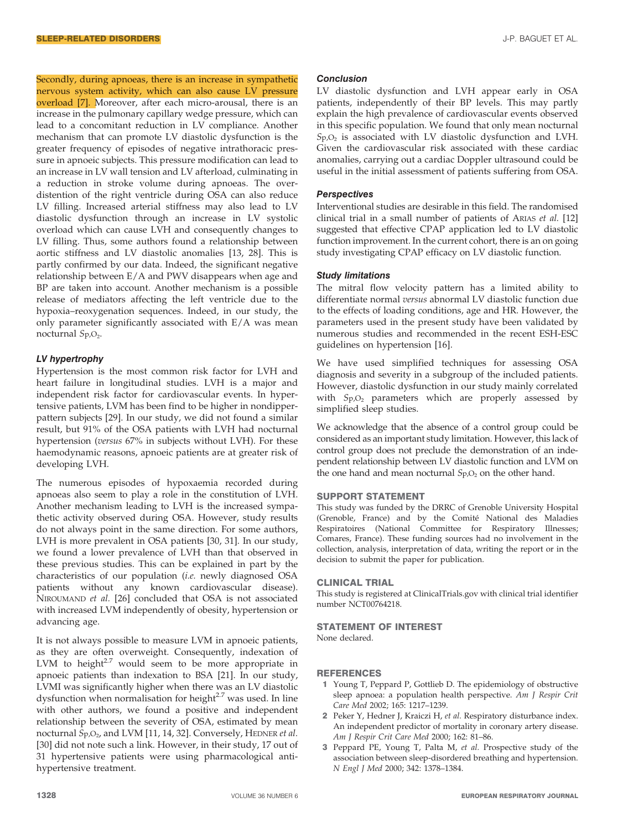Secondly, during apnoeas, there is an increase in sympathetic nervous system activity, which can also cause LV pressure overload [7]. Moreover, after each micro-arousal, there is an increase in the pulmonary capillary wedge pressure, which can lead to a concomitant reduction in LV compliance. Another mechanism that can promote LV diastolic dysfunction is the greater frequency of episodes of negative intrathoracic pressure in apnoeic subjects. This pressure modification can lead to an increase in LV wall tension and LV afterload, culminating in a reduction in stroke volume during apnoeas. The overdistention of the right ventricle during OSA can also reduce LV filling. Increased arterial stiffness may also lead to LV diastolic dysfunction through an increase in LV systolic overload which can cause LVH and consequently changes to LV filling. Thus, some authors found a relationship between aortic stiffness and LV diastolic anomalies [13, 28]. This is partly confirmed by our data. Indeed, the significant negative relationship between E/A and PWV disappears when age and BP are taken into account. Another mechanism is a possible release of mediators affecting the left ventricle due to the hypoxia–reoxygenation sequences. Indeed, in our study, the only parameter significantly associated with E/A was mean nocturnal S<sub>p</sub>,O<sub>2</sub>.

# LV hypertrophy

Hypertension is the most common risk factor for LVH and heart failure in longitudinal studies. LVH is a major and independent risk factor for cardiovascular events. In hypertensive patients, LVM has been find to be higher in nondipperpattern subjects [29]. In our study, we did not found a similar result, but 91% of the OSA patients with LVH had nocturnal hypertension (versus 67% in subjects without LVH). For these haemodynamic reasons, apnoeic patients are at greater risk of developing LVH.

The numerous episodes of hypoxaemia recorded during apnoeas also seem to play a role in the constitution of LVH. Another mechanism leading to LVH is the increased sympathetic activity observed during OSA. However, study results do not always point in the same direction. For some authors, LVH is more prevalent in OSA patients [30, 31]. In our study, we found a lower prevalence of LVH than that observed in these previous studies. This can be explained in part by the characteristics of our population (i.e. newly diagnosed OSA patients without any known cardiovascular disease). NIROUMAND et al. [26] concluded that OSA is not associated with increased LVM independently of obesity, hypertension or advancing age.

It is not always possible to measure LVM in apnoeic patients, as they are often overweight. Consequently, indexation of LVM to height $27$  would seem to be more appropriate in apnoeic patients than indexation to BSA [21]. In our study, LVMI was significantly higher when there was an LV diastolic dysfunction when normalisation for height $2.7$  was used. In line with other authors, we found a positive and independent relationship between the severity of OSA, estimated by mean nocturnal Sp, O<sub>2</sub>, and LVM [11, 14, 32]. Conversely, HEDNER et al. [30] did not note such a link. However, in their study, 17 out of 31 hypertensive patients were using pharmacological antihypertensive treatment.

#### **Conclusion**

LV diastolic dysfunction and LVH appear early in OSA patients, independently of their BP levels. This may partly explain the high prevalence of cardiovascular events observed in this specific population. We found that only mean nocturnal  $Sp_2O_2$  is associated with LV diastolic dysfunction and LVH. Given the cardiovascular risk associated with these cardiac anomalies, carrying out a cardiac Doppler ultrasound could be useful in the initial assessment of patients suffering from OSA.

#### **Perspectives**

Interventional studies are desirable in this field. The randomised clinical trial in a small number of patients of ARIAS et al. [12] suggested that effective CPAP application led to LV diastolic function improvement. In the current cohort, there is an on going study investigating CPAP efficacy on LV diastolic function.

## Study limitations

The mitral flow velocity pattern has a limited ability to differentiate normal versus abnormal LV diastolic function due to the effects of loading conditions, age and HR. However, the parameters used in the present study have been validated by numerous studies and recommended in the recent ESH-ESC guidelines on hypertension [16].

We have used simplified techniques for assessing OSA diagnosis and severity in a subgroup of the included patients. However, diastolic dysfunction in our study mainly correlated with  $Sp_2$  parameters which are properly assessed by simplified sleep studies.

We acknowledge that the absence of a control group could be considered as an important study limitation. However, this lack of control group does not preclude the demonstration of an independent relationship between LV diastolic function and LVM on the one hand and mean nocturnal  $Sp_2O_2$  on the other hand.

# SUPPORT STATEMENT

This study was funded by the DRRC of Grenoble University Hospital (Grenoble, France) and by the Comité National des Maladies Respiratoires (National Committee for Respiratory Illnesses; Comares, France). These funding sources had no involvement in the collection, analysis, interpretation of data, writing the report or in the decision to submit the paper for publication.

#### CLINICAL TRIAL

This study is registered at ClinicalTrials.gov with clinical trial identifier number NCT00764218.

# STATEMENT OF INTEREST

None declared.

#### REFERENCES

- 1 Young T, Peppard P, Gottlieb D. The epidemiology of obstructive sleep apnoea: a population health perspective. Am J Respir Crit Care Med 2002; 165: 1217–1239.
- 2 Peker Y, Hedner J, Kraiczi H, et al. Respiratory disturbance index. An independent predictor of mortality in coronary artery disease. Am J Respir Crit Care Med 2000; 162: 81–86.
- 3 Peppard PE, Young T, Palta M, et al. Prospective study of the association between sleep-disordered breathing and hypertension. N Engl J Med 2000; 342: 1378–1384.